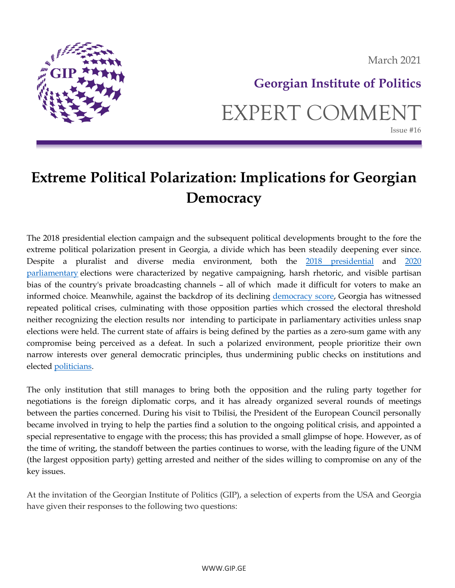

March 2021

# **Georgian Institute of Politics** EXPERT COMMENT Issue #16

# **Extreme Political Polarization: Implications for Georgian Democracy**

The 2018 presidential election campaign and the subsequent political developments brought to the fore the extreme political polarization present in Georgia, a divide which has been steadily deepening ever since. Despite a pluralist and diverse media environment, both the [2018 presidential](https://www.osce.org/odihr/elections/georgia/412724) and [2020](https://www.osce.org/odihr/elections/georgia/480500)  [parliamentary](https://www.osce.org/odihr/elections/georgia/480500) elections were characterized by negative campaigning, harsh rhetoric, and visible partisan bias of the country's private broadcasting channels – all of which made it difficult for voters to make an informed choice. Meanwhile, against the backdrop of its declining [democracy score,](https://freedomhouse.org/country/georgia/freedom-world/2020) Georgia has witnessed repeated political crises, culminating with those opposition parties which crossed the electoral threshold neither recognizing the election results nor intending to participate in parliamentary activities unless snap elections were held. The current state of affairs is being defined by the parties as a zero-sum game with any compromise being perceived as a defeat. In such a polarized environment, people prioritize their own narrow interests over general democratic principles, thus undermining public checks on institutions and elected [politicians.](https://www.journalofdemocracy.org/articles/polarization-versus-democracy/)

The only institution that still manages to bring both the opposition and the ruling party together for negotiations is the foreign diplomatic corps, and it has already organized several rounds of meetings between the parties concerned. During his visit to Tbilisi, the President of the European Council personally became involved in trying to help the parties find a solution to the ongoing political crisis, and appointed a special representative to engage with the process; this has provided a small glimpse of hope. However, as of the time of writing, the standoff between the parties continues to worse, with the leading figure of the UNM (the largest opposition party) getting arrested and neither of the sides willing to compromise on any of the key issues.

At the invitation of the Georgian Institute of Politics (GIP), a selection of experts from the USA and Georgia have given their responses to the following two questions: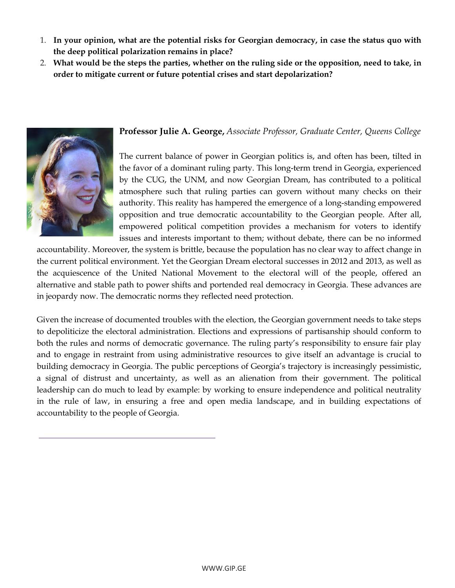- 1. **In your opinion, what are the potential risks for Georgian democracy, in case the status quo with the deep political polarization remains in place?**
- 2. **What would be the steps the parties, whether on the ruling side or the opposition, need to take, in order to mitigate current or future potential crises and start depolarization?**



#### **Professor Julie A. George,** *Associate Professor, Graduate Center, Queens College*

The current balance of power in Georgian politics is, and often has been, tilted in the favor of a dominant ruling party. This long-term trend in Georgia, experienced by the CUG, the UNM, and now Georgian Dream, has contributed to a political atmosphere such that ruling parties can govern without many checks on their authority. This reality has hampered the emergence of a long-standing empowered opposition and true democratic accountability to the Georgian people. After all, empowered political competition provides a mechanism for voters to identify issues and interests important to them; without debate, there can be no informed

accountability. Moreover, the system is brittle, because the population has no clear way to affect change in the current political environment. Yet the Georgian Dream electoral successes in 2012 and 2013, as well as the acquiescence of the United National Movement to the electoral will of the people, offered an alternative and stable path to power shifts and portended real democracy in Georgia. These advances are in jeopardy now. The democratic norms they reflected need protection.

Given the increase of documented troubles with the election, the Georgian government needs to take steps to depoliticize the electoral administration. Elections and expressions of partisanship should conform to both the rules and norms of democratic governance. The ruling party's responsibility to ensure fair play and to engage in restraint from using administrative resources to give itself an advantage is crucial to building democracy in Georgia. The public perceptions of Georgia's trajectory is increasingly pessimistic, a signal of distrust and uncertainty, as well as an alienation from their government. The political leadership can do much to lead by example: by working to ensure independence and political neutrality in the rule of law, in ensuring a free and open media landscape, and in building expectations of accountability to the people of Georgia.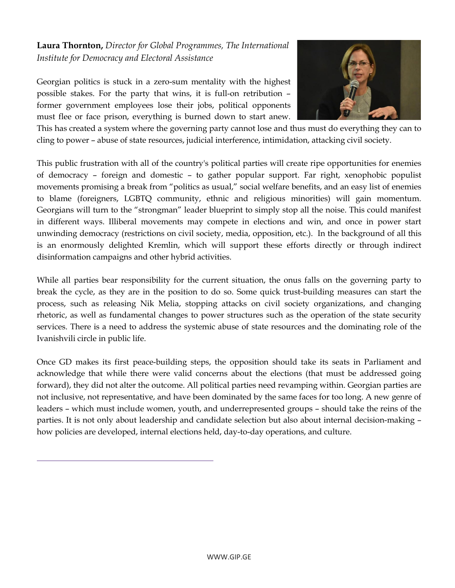### **Laura Thornton,** *Director for Global Programmes, The International Institute for Democracy and Electoral Assistance*

Georgian politics is stuck in a zero-sum mentality with the highest possible stakes. For the party that wins, it is full-on retribution – former government employees lose their jobs, political opponents must flee or face prison, everything is burned down to start anew.



This has created a system where the governing party cannot lose and thus must do everything they can to cling to power – abuse of state resources, judicial interference, intimidation, attacking civil society.

This public frustration with all of the country's political parties will create ripe opportunities for enemies of democracy – foreign and domestic – to gather popular support. Far right, xenophobic populist movements promising a break from "politics as usual," social welfare benefits, and an easy list of enemies to blame (foreigners, LGBTQ community, ethnic and religious minorities) will gain momentum. Georgians will turn to the "strongman" leader blueprint to simply stop all the noise. This could manifest in different ways. Illiberal movements may compete in elections and win, and once in power start unwinding democracy (restrictions on civil society, media, opposition, etc.). In the background of all this is an enormously delighted Kremlin, which will support these efforts directly or through indirect disinformation campaigns and other hybrid activities.

While all parties bear responsibility for the current situation, the onus falls on the governing party to break the cycle, as they are in the position to do so. Some quick trust-building measures can start the process, such as releasing Nik Melia, stopping attacks on civil society organizations, and changing rhetoric, as well as fundamental changes to power structures such as the operation of the state security services. There is a need to address the systemic abuse of state resources and the dominating role of the Ivanishvili circle in public life.

Once GD makes its first peace-building steps, the opposition should take its seats in Parliament and acknowledge that while there were valid concerns about the elections (that must be addressed going forward), they did not alter the outcome. All political parties need revamping within. Georgian parties are not inclusive, not representative, and have been dominated by the same faces for too long. A new genre of leaders – which must include women, youth, and underrepresented groups – should take the reins of the parties. It is not only about leadership and candidate selection but also about internal decision-making – how policies are developed, internal elections held, day-to-day operations, and culture.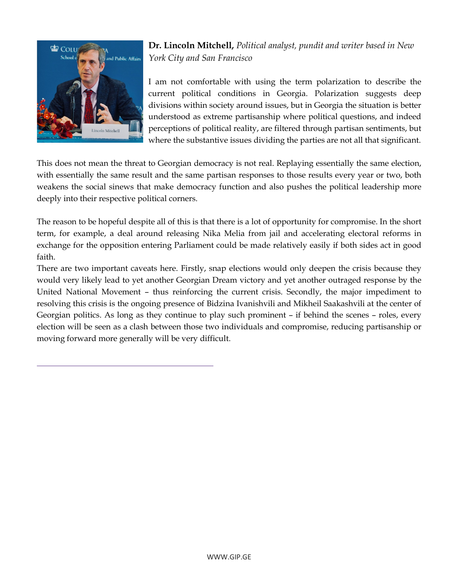

**Dr. Lincoln Mitchell,** *Political analyst, pundit and writer based in New York City and San Francisco*

I am not comfortable with using the term polarization to describe the current political conditions in Georgia. Polarization suggests deep divisions within society around issues, but in Georgia the situation is better understood as extreme partisanship where political questions, and indeed perceptions of political reality, are filtered through partisan sentiments, but where the substantive issues dividing the parties are not all that significant.

This does not mean the threat to Georgian democracy is not real. Replaying essentially the same election, with essentially the same result and the same partisan responses to those results every year or two, both weakens the social sinews that make democracy function and also pushes the political leadership more deeply into their respective political corners.

The reason to be hopeful despite all of this is that there is a lot of opportunity for compromise. In the short term, for example, a deal around releasing Nika Melia from jail and accelerating electoral reforms in exchange for the opposition entering Parliament could be made relatively easily if both sides act in good faith.

There are two important caveats here. Firstly, snap elections would only deepen the crisis because they would very likely lead to yet another Georgian Dream victory and yet another outraged response by the United National Movement – thus reinforcing the current crisis. Secondly, the major impediment to resolving this crisis is the ongoing presence of Bidzina Ivanishvili and Mikheil Saakashvili at the center of Georgian politics. As long as they continue to play such prominent – if behind the scenes – roles, every election will be seen as a clash between those two individuals and compromise, reducing partisanship or moving forward more generally will be very difficult.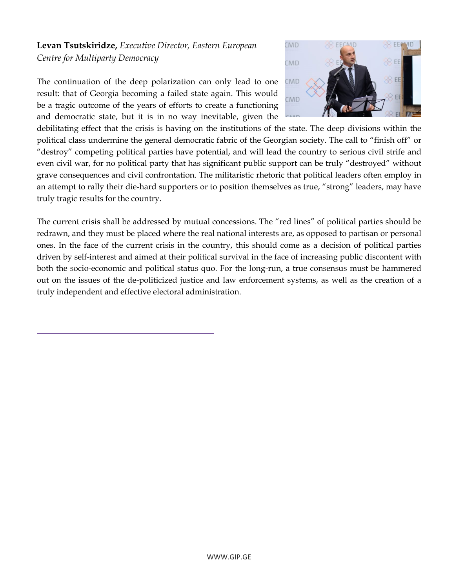## **Levan Tsutskiridze,** *Executive Director, Eastern European Centre for Multiparty Democracy*

The continuation of the deep polarization can only lead to one result: that of Georgia becoming a failed state again. This would be a tragic outcome of the years of efforts to create a functioning and democratic state, but it is in no way inevitable, given the



debilitating effect that the crisis is having on the institutions of the state. The deep divisions within the political class undermine the general democratic fabric of the Georgian society. The call to "finish off" or "destroy" competing political parties have potential, and will lead the country to serious civil strife and even civil war, for no political party that has significant public support can be truly "destroyed" without grave consequences and civil confrontation. The militaristic rhetoric that political leaders often employ in an attempt to rally their die-hard supporters or to position themselves as true, "strong" leaders, may have truly tragic results for the country.

The current crisis shall be addressed by mutual concessions. The "red lines" of political parties should be redrawn, and they must be placed where the real national interests are, as opposed to partisan or personal ones. In the face of the current crisis in the country, this should come as a decision of political parties driven by self-interest and aimed at their political survival in the face of increasing public discontent with both the socio-economic and political status quo. For the long-run, a true consensus must be hammered out on the issues of the de-politicized justice and law enforcement systems, as well as the creation of a truly independent and effective electoral administration.